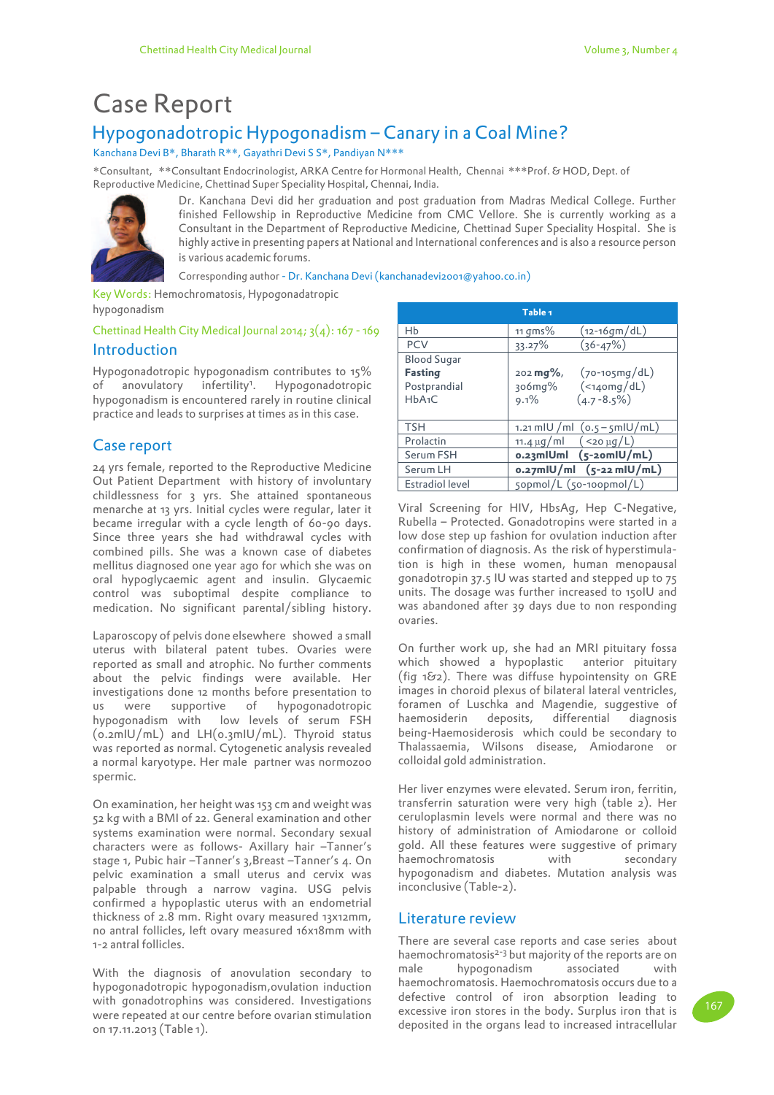# Case Report

## Hypogonadotropic Hypogonadism – Canary in a Coal Mine?

Kanchana Devi B\*, Bharath R\*\*, Gayathri Devi S S\*, Pandiyan N\*\*\*

\*Consultant, \*\*Consultant Endocrinologist, ARKA Centre for Hormonal Health, Chennai \*\*\*Prof. & HOD, Dept. of Reproductive Medicine, Chettinad Super Speciality Hospital, Chennai, India.



Dr. Kanchana Devi did her graduation and post graduation from Madras Medical College. Further finished Fellowship in Reproductive Medicine from CMC Vellore. She is currently working as a Consultant in the Department of Reproductive Medicine, Chettinad Super Speciality Hospital. She is highly active in presenting papers at National and International conferences and is also a resource person is various academic forums.

Corresponding author - Dr. Kanchana Devi (kanchanadevi2001@yahoo.co.in)

Key Words: Hemochromatosis, Hypogonadatropic hypogonadism

## Introduction Chettinad Health City Medical Journal 2014;  $3(4)$ : 167 - 169

Hypogonadotropic hypogonadism contributes to 15% of anovulatory infertility<sup>1</sup>. Hypogonadotropic hypogonadism is encountered rarely in routine clinical practice and leads to surprises at times as in this case.

## Case report

24 yrs female, reported to the Reproductive Medicine Out Patient Department with history of involuntary childlessness for 3 yrs. She attained spontaneous menarche at 13 yrs. Initial cycles were regular, later it became irregular with a cycle length of 60-90 days. Since three years she had withdrawal cycles with combined pills. She was a known case of diabetes mellitus diagnosed one year ago for which she was on oral hypoglycaemic agent and insulin. Glycaemic control was suboptimal despite compliance to medication. No significant parental/sibling history.

Laparoscopy of pelvis done elsewhere showed a small uterus with bilateral patent tubes. Ovaries were reported as small and atrophic. No further comments about the pelvic findings were available. Her investigations done 12 months before presentation to us were supportive of hypogonadotropic hypogonadism with low levels of serum FSH (0.2mIU/mL) and LH(0.3mIU/mL). Thyroid status was reported as normal. Cytogenetic analysis revealed a normal karyotype. Her male partner was normozoo spermic.

On examination, her height was 153 cm and weight was 52 kg with a BMI of 22. General examination and other systems examination were normal. Secondary sexual characters were as follows- Axillary hair –Tanner's stage 1, Pubic hair –Tanner's 3,Breast –Tanner's 4. On pelvic examination a small uterus and cervix was palpable through a narrow vagina. USG pelvis confirmed a hypoplastic uterus with an endometrial thickness of 2.8 mm. Right ovary measured 13x12mm, no antral follicles, left ovary measured 16x18mm with 1-2 antral follicles.

With the diagnosis of anovulation secondary to hypogonadotropic hypogonadism,ovulation induction with gonadotrophins was considered. Investigations were repeated at our centre before ovarian stimulation on 17.11.2013 (Table 1).

| Table <sub>1</sub>                                            |                                                                                                             |  |
|---------------------------------------------------------------|-------------------------------------------------------------------------------------------------------------|--|
| Нb                                                            | (12-16gm/dL)<br>11 $qms\%$                                                                                  |  |
| <b>PCV</b>                                                    | $(36 - 47%)$<br>33.27%                                                                                      |  |
| <b>Blood Sugar</b><br><b>Fasting</b><br>Postprandial<br>HbA1C | $(70 - 105)$ dL)<br>$202 \,\mathrm{mg\%}$ ,<br>( <sub>14</sub> omg/dL)<br>306mg%<br>$(4.7 - 8.5\%)$<br>9.1% |  |
| <b>TSH</b>                                                    | 1.21 mlU / ml $(o.5 - 5$ mlU/ mL)                                                                           |  |
| Prolactin                                                     | $(<$ 20 µg/L)<br>11.4 $\mu$ g/ml                                                                            |  |
| Serum FSH                                                     | 0.23mlUml (5-20mlU/mL)                                                                                      |  |
| Serum LH                                                      | $o.27$ mlU/ml $(s$ -22 mlU/mL)                                                                              |  |
| <b>Estradiol level</b>                                        | 50pmol/L (50-100pmol/L)                                                                                     |  |

Viral Screening for HIV, HbsAg, Hep C-Negative, Rubella – Protected. Gonadotropins were started in a low dose step up fashion for ovulation induction after confirmation of diagnosis. As the risk of hyperstimulation is high in these women, human menopausal gonadotropin 37.5 IU was started and stepped up to 75 units. The dosage was further increased to 150IU and was abandoned after 39 days due to non responding ovaries.

On further work up, she had an MRI pituitary fossa which showed a hypoplastic anterior pituitary (fig 1&2). There was diffuse hypointensity on GRE images in choroid plexus of bilateral lateral ventricles, foramen of Luschka and Magendie, suggestive of haemosiderin deposits, differential diagnosis being-Haemosiderosis which could be secondary to Thalassaemia, Wilsons disease, Amiodarone or colloidal gold administration.

Her liver enzymes were elevated. Serum iron, ferritin, transferrin saturation were very high (table 2). Her ceruloplasmin levels were normal and there was no history of administration of Amiodarone or colloid gold. All these features were suggestive of primary haemochromatosis with secondary hypogonadism and diabetes. Mutation analysis was inconclusive (Table-2).

## Literature review

There are several case reports and case series about haemochromatosis<sup>2-3</sup> but majority of the reports are on male hypogonadism associated with haemochromatosis. Haemochromatosis occurs due to a defective control of iron absorption leading to excessive iron stores in the body. Surplus iron that is deposited in the organs lead to increased intracellular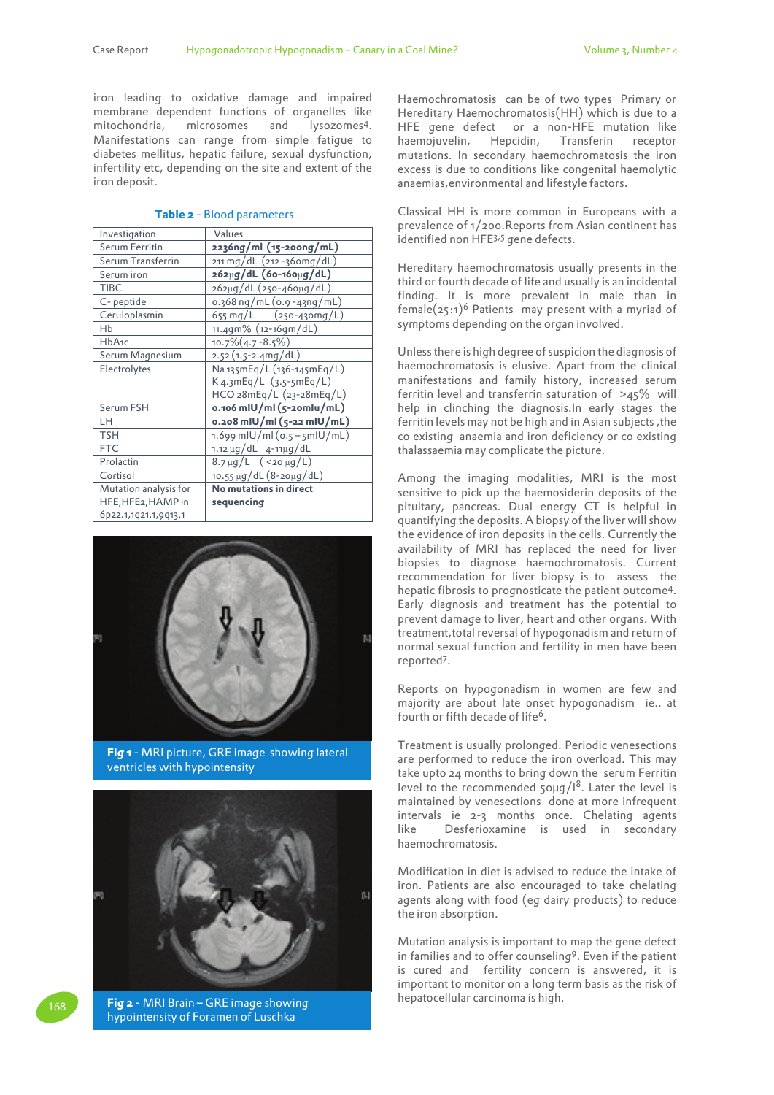iron leading to oxidative damage and impaired membrane dependent functions of organelles like<br>mitochondria, microsomes and lysozomes<sup>4</sup>. mitochondria, microsomes lysozomes<sup>4</sup>. Manifestations can range from simple fatigue to diabetes mellitus, hepatic failure, sexual dysfunction, infertility etc, depending on the site and extent of the iron deposit.

| Investigation         | Values                              |
|-----------------------|-------------------------------------|
| Serum Ferritin        | 2236ng/ml (15-200ng/mL)             |
| Serum Transferrin     | 211 mg/dL (212 -360mg/dL)           |
| Serum iron            | 262µg/dL (60-160µg/dL)              |
| <b>TIBC</b>           | 262µg/dL (250-460µg/dL)             |
| C-peptide             | 0.368 ng/mL (0.9 -43ng/mL)          |
| Ceruloplasmin         | 655 mg/L (250-430mg/L)              |
| Hb                    | 11.4gm% (12-16gm/dL)                |
| HbA <sub>1</sub> c    | $10.7\%(4.7 - 8.5\%)$               |
| Serum Magnesium       | $2.52(1.5-2.4mg/dL)$                |
| Electrolytes          | Na 135mEq/L (136-145mEq/L)          |
|                       | $K$ 4.3mEq/L $(3.5 - 5mEq/L)$       |
|                       | HCO 28mEq/L (23-28mEq/L)            |
| Serum FSH             | o.106 mIU/ml (5-20mlu/mL)           |
| LH                    | 0.208 mlU/ml (5-22 mlU/mL)          |
| <b>TSH</b>            | $1.699$ mIU/mI (0.5 – 5mIU/mL)      |
| <b>FTC</b>            | $1.12 \mu g/dL$ 4-11 $\mu g/dL$     |
| Prolactin             | $8.7 \,\mu$ g/L $($ < 20 $\mu$ g/L) |
| Cortisol              | 10.55 μg/dL (8-20μg/dL)             |
| Mutation analysis for | No mutations in direct              |
| HFE, HFE2, HAMP in    | sequencing                          |
| 6p22.1,1q21.1,9q13.1  |                                     |
|                       |                                     |

#### **Table 2** - Blood parameters



**Fig 1** - MRI picture, GRE image showing lateral ventricles with hypointensity



**Fig 2** - MRI Brain – GRE image showing hypointensity of Foramen of Luschka

168

Haemochromatosis can be of two types Primary or Hereditary Haemochromatosis(HH) which is due to a HFE gene defect or a non-HFE mutation like haemojuvelin, Hepcidin, Transferin receptor mutations. In secondary haemochromatosis the iron excess is due to conditions like congenital haemolytic anaemias,environmental and lifestyle factors.

Classical HH is more common in Europeans with a prevalence of 1/200.Reports from Asian continent has identified non HFE<sup>3,5</sup> gene defects.

Hereditary haemochromatosis usually presents in the third or fourth decade of life and usually is an incidental finding. It is more prevalent in male than in female( $25:1$ <sup>)6</sup> Patients may present with a myriad of symptoms depending on the organ involved.

Unless there is high degree of suspicion the diagnosis of haemochromatosis is elusive. Apart from the clinical manifestations and family history, increased serum ferritin level and transferrin saturation of >45% will help in clinching the diagnosis.In early stages the ferritin levels may not be high and in Asian subjects ,the co existing anaemia and iron deficiency or co existing thalassaemia may complicate the picture.

Among the imaging modalities, MRI is the most sensitive to pick up the haemosiderin deposits of the pituitary, pancreas. Dual energy CT is helpful in quantifying the deposits. A biopsy of the liver will show the evidence of iron deposits in the cells. Currently the availability of MRI has replaced the need for liver biopsies to diagnose haemochromatosis. Current recommendation for liver biopsy is to assess the hepatic fibrosis to prognosticate the patient outcome<sup>4</sup> . Early diagnosis and treatment has the potential to prevent damage to liver, heart and other organs. With treatment,total reversal of hypogonadism and return of normal sexual function and fertility in men have been reported<sup>7</sup> .

Reports on hypogonadism in women are few and majority are about late onset hypogonadism ie.. at fourth or fifth decade of life6.

Treatment is usually prolonged. Periodic venesections are performed to reduce the iron overload. This may take upto 24 months to bring down the serum Ferritin level to the recommended  $50\mu g/l^8$ . Later the level is maintained by venesections done at more infrequent intervals ie 2-3 months once. Chelating agents like Desferioxamine is used in secondary haemochromatosis.

Modification in diet is advised to reduce the intake of iron. Patients are also encouraged to take chelating agents along with food (eg dairy products) to reduce the iron absorption.

Mutation analysis is important to map the gene defect in families and to offer counseling9. Even if the patient is cured and fertility concern is answered, it is important to monitor on a long term basis as the risk of hepatocellular carcinoma is high.